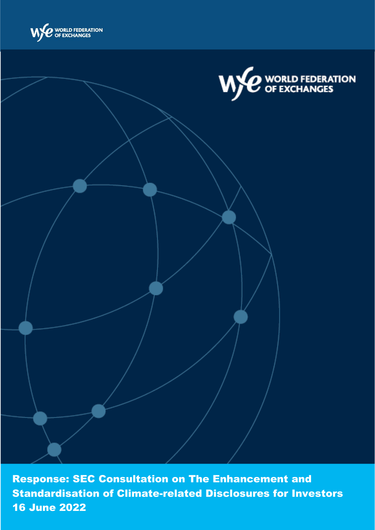



Response: SEC Consultation on The Enhancement and Standardisation of Climate-related Disclosures for Investors 16 June 2022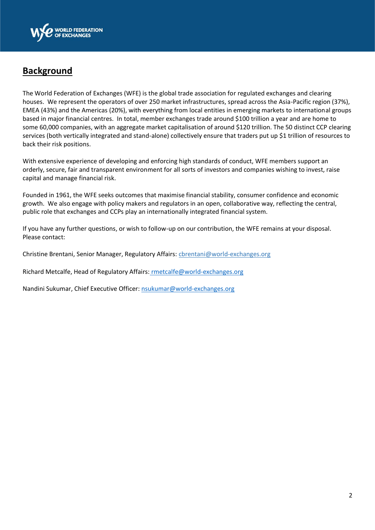

## **Background**

The World Federation of Exchanges (WFE) is the global trade association for regulated exchanges and clearing houses. We represent the operators of over 250 market infrastructures, spread across the Asia-Pacific region (37%), EMEA (43%) and the Americas (20%), with everything from local entities in emerging markets to international groups based in major financial centres. In total, member exchanges trade around \$100 trillion a year and are home to some 60,000 companies, with an aggregate market capitalisation of around \$120 trillion. The 50 distinct CCP clearing services (both vertically integrated and stand-alone) collectively ensure that traders put up \$1 trillion of resources to back their risk positions.

With extensive experience of developing and enforcing high standards of conduct, WFE members support an orderly, secure, fair and transparent environment for all sorts of investors and companies wishing to invest, raise capital and manage financial risk.

Founded in 1961, the WFE seeks outcomes that maximise financial stability, consumer confidence and economic growth. We also engage with policy makers and regulators in an open, collaborative way, reflecting the central, public role that exchanges and CCPs play an internationally integrated financial system.

If you have any further questions, or wish to follow-up on our contribution, the WFE remains at your disposal. Please contact:

Christine Brentani, Senior Manager, Regulatory Affairs: cbrentani@world-exchanges.org

Richard Metcalfe, Head of Regulatory Affairs: rmetcalfe@world-exchanges.org

Nandini Sukumar, Chief Executive Officer[: nsukumar@world-exchanges.org](mailto:nsukumar@world-exchanges.org)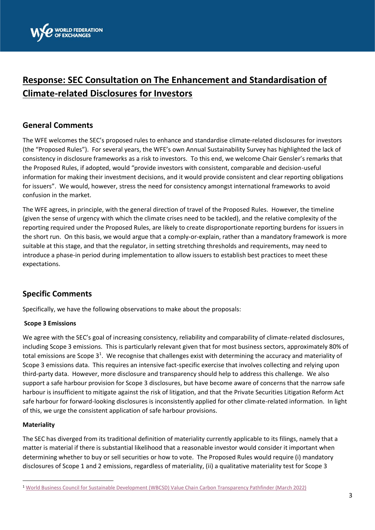

# **Response: SEC Consultation on The Enhancement and Standardisation of Climate-related Disclosures for Investors**

### **General Comments**

The WFE welcomes the SEC's proposed rules to enhance and standardise climate-related disclosures for investors (the "Proposed Rules"). For several years, the WFE's own Annual Sustainability Survey has highlighted the lack of consistency in disclosure frameworks as a risk to investors. To this end, we welcome Chair Gensler's remarks that the Proposed Rules, if adopted, would "provide investors with consistent, comparable and decision-useful information for making their investment decisions, and it would provide consistent and clear reporting obligations for issuers". We would, however, stress the need for consistency amongst international frameworks to avoid confusion in the market.

The WFE agrees, in principle, with the general direction of travel of the Proposed Rules. However, the timeline (given the sense of urgency with which the climate crises need to be tackled), and the relative complexity of the reporting required under the Proposed Rules, are likely to create disproportionate reporting burdens for issuers in the short run. On this basis, we would argue that a comply-or-explain, rather than a mandatory framework is more suitable at this stage, and that the regulator, in setting stretching thresholds and requirements, may need to introduce a phase-in period during implementation to allow issuers to establish best practices to meet these expectations.

## **Specific Comments**

Specifically, we have the following observations to make about the proposals:

#### **Scope 3 Emissions**

We agree with the SEC's goal of increasing consistency, reliability and comparability of climate-related disclosures, including Scope 3 emissions. This is particularly relevant given that for most business sectors, approximately 80% of total emissions are Scope  $3<sup>1</sup>$ . We recognise that challenges exist with determining the accuracy and materiality of Scope 3 emissions data. This requires an intensive fact-specific exercise that involves collecting and relying upon third-party data. However, more disclosure and transparency should help to address this challenge. We also support a safe harbour provision for Scope 3 disclosures, but have become aware of concerns that the narrow safe harbour is insufficient to mitigate against the risk of litigation, and that the Private Securities Litigation Reform Act safe harbour for forward-looking disclosures is inconsistently applied for other climate-related information. In light of this, we urge the consistent application of safe harbour provisions.

#### **Materiality**

The SEC has diverged from its traditional definition of materiality currently applicable to its filings, namely that a matter is material if there is substantial likelihood that a reasonable investor would consider it important when determining whether to buy or sell securities or how to vote. The Proposed Rules would require (i) mandatory disclosures of Scope 1 and 2 emissions, regardless of materiality, (ii) a qualitative materiality test for Scope 3

<sup>1</sup> [World Business Council for Sustainable Development \(WBCSD\) Value Chain Carbon Transparency Pathfinder \(March 2022\)](https://www.wbcsd.org/Programs/Climate-and-Energy/Climate/SOS-1.5/News/WBCSD-launches-new-Pathfinder-to-enable-Scope-3-emissions-transparency-and-accelerate-decarbonization)